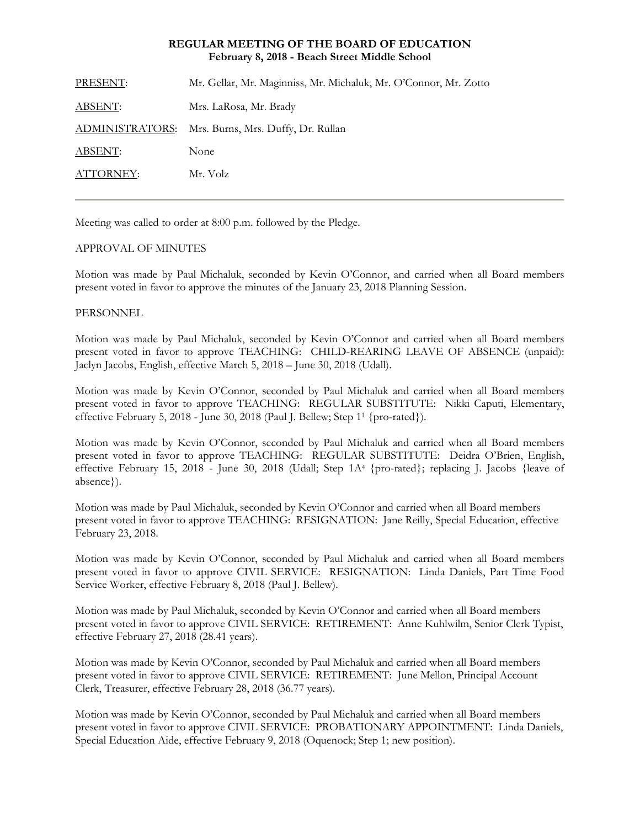# **REGULAR MEETING OF THE BOARD OF EDUCATION February 8, 2018 - Beach Street Middle School**

| PRESENT:  | Mr. Gellar, Mr. Maginniss, Mr. Michaluk, Mr. O'Connor, Mr. Zotto |
|-----------|------------------------------------------------------------------|
| ABSENT:   | Mrs. LaRosa, Mr. Brady                                           |
|           | ADMINISTRATORS: Mrs. Burns, Mrs. Duffy, Dr. Rullan               |
| ABSENT:   | None                                                             |
| ATTORNEY: | Mr. Volz                                                         |
|           |                                                                  |

Meeting was called to order at 8:00 p.m. followed by the Pledge.

# APPROVAL OF MINUTES

Motion was made by Paul Michaluk, seconded by Kevin O'Connor, and carried when all Board members present voted in favor to approve the minutes of the January 23, 2018 Planning Session.

## **PERSONNEL**

Motion was made by Paul Michaluk, seconded by Kevin O'Connor and carried when all Board members present voted in favor to approve TEACHING: CHILD-REARING LEAVE OF ABSENCE (unpaid): Jaclyn Jacobs, English, effective March 5, 2018 – June 30, 2018 (Udall).

Motion was made by Kevin O'Connor, seconded by Paul Michaluk and carried when all Board members present voted in favor to approve TEACHING: REGULAR SUBSTITUTE: Nikki Caputi, Elementary, effective February 5, 2018 - June 30, 2018 (Paul J. Bellew; Step 11 {pro-rated}).

Motion was made by Kevin O'Connor, seconded by Paul Michaluk and carried when all Board members present voted in favor to approve TEACHING: REGULAR SUBSTITUTE: Deidra O'Brien, English, effective February 15, 2018 - June 30, 2018 (Udall; Step 1A4 {pro-rated}; replacing J. Jacobs {leave of absence}).

Motion was made by Paul Michaluk, seconded by Kevin O'Connor and carried when all Board members present voted in favor to approve TEACHING: RESIGNATION: Jane Reilly, Special Education, effective February 23, 2018.

Motion was made by Kevin O'Connor, seconded by Paul Michaluk and carried when all Board members present voted in favor to approve CIVIL SERVICE: RESIGNATION: Linda Daniels, Part Time Food Service Worker, effective February 8, 2018 (Paul J. Bellew).

Motion was made by Paul Michaluk, seconded by Kevin O'Connor and carried when all Board members present voted in favor to approve CIVIL SERVICE: RETIREMENT: Anne Kuhlwilm, Senior Clerk Typist, effective February 27, 2018 (28.41 years).

Motion was made by Kevin O'Connor, seconded by Paul Michaluk and carried when all Board members present voted in favor to approve CIVIL SERVICE: RETIREMENT: June Mellon, Principal Account Clerk, Treasurer, effective February 28, 2018 (36.77 years).

Motion was made by Kevin O'Connor, seconded by Paul Michaluk and carried when all Board members present voted in favor to approve CIVIL SERVICE: PROBATIONARY APPOINTMENT: Linda Daniels, Special Education Aide, effective February 9, 2018 (Oquenock; Step 1; new position).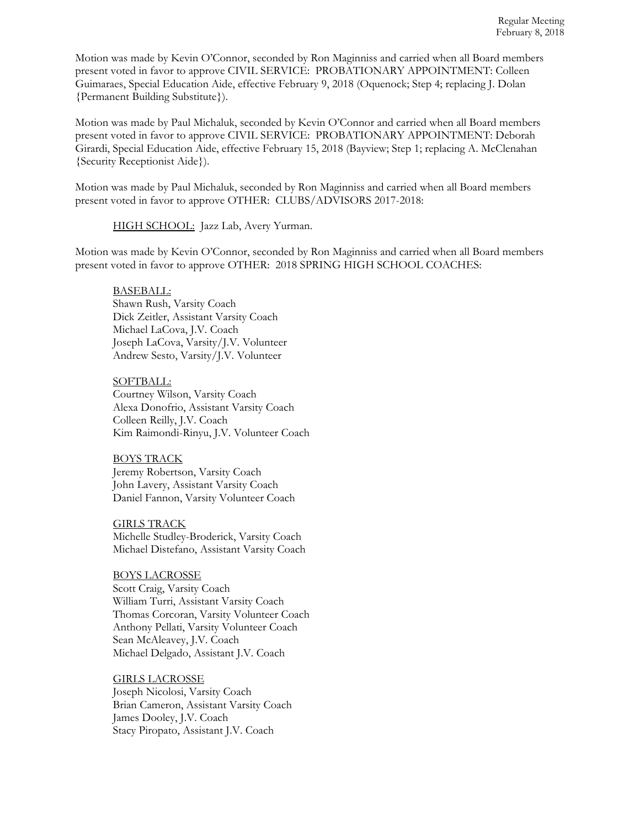Motion was made by Kevin O'Connor, seconded by Ron Maginniss and carried when all Board members present voted in favor to approve CIVIL SERVICE: PROBATIONARY APPOINTMENT: Colleen Guimaraes, Special Education Aide, effective February 9, 2018 (Oquenock; Step 4; replacing J. Dolan {Permanent Building Substitute}).

Motion was made by Paul Michaluk, seconded by Kevin O'Connor and carried when all Board members present voted in favor to approve CIVIL SERVICE: PROBATIONARY APPOINTMENT: Deborah Girardi, Special Education Aide, effective February 15, 2018 (Bayview; Step 1; replacing A. McClenahan {Security Receptionist Aide}).

Motion was made by Paul Michaluk, seconded by Ron Maginniss and carried when all Board members present voted in favor to approve OTHER: CLUBS/ADVISORS 2017-2018:

HIGH SCHOOL: Jazz Lab, Avery Yurman.

Motion was made by Kevin O'Connor, seconded by Ron Maginniss and carried when all Board members present voted in favor to approve OTHER: 2018 SPRING HIGH SCHOOL COACHES:

## BASEBALL:

 Shawn Rush, Varsity Coach Dick Zeitler, Assistant Varsity Coach Michael LaCova, J.V. Coach Joseph LaCova, Varsity/J.V. Volunteer Andrew Sesto, Varsity/J.V. Volunteer

#### SOFTBALL:

 Courtney Wilson, Varsity Coach Alexa Donofrio, Assistant Varsity Coach Colleen Reilly, J.V. Coach Kim Raimondi-Rinyu, J.V. Volunteer Coach

## BOYS TRACK

 Jeremy Robertson, Varsity Coach John Lavery, Assistant Varsity Coach Daniel Fannon, Varsity Volunteer Coach

 GIRLS TRACK Michelle Studley-Broderick, Varsity Coach Michael Distefano, Assistant Varsity Coach

# BOYS LACROSSE

 Scott Craig, Varsity Coach William Turri, Assistant Varsity Coach Thomas Corcoran, Varsity Volunteer Coach Anthony Pellati, Varsity Volunteer Coach Sean McAleavey, J.V. Coach Michael Delgado, Assistant J.V. Coach

## GIRLS LACROSSE

 Joseph Nicolosi, Varsity Coach Brian Cameron, Assistant Varsity Coach James Dooley, J.V. Coach Stacy Piropato, Assistant J.V. Coach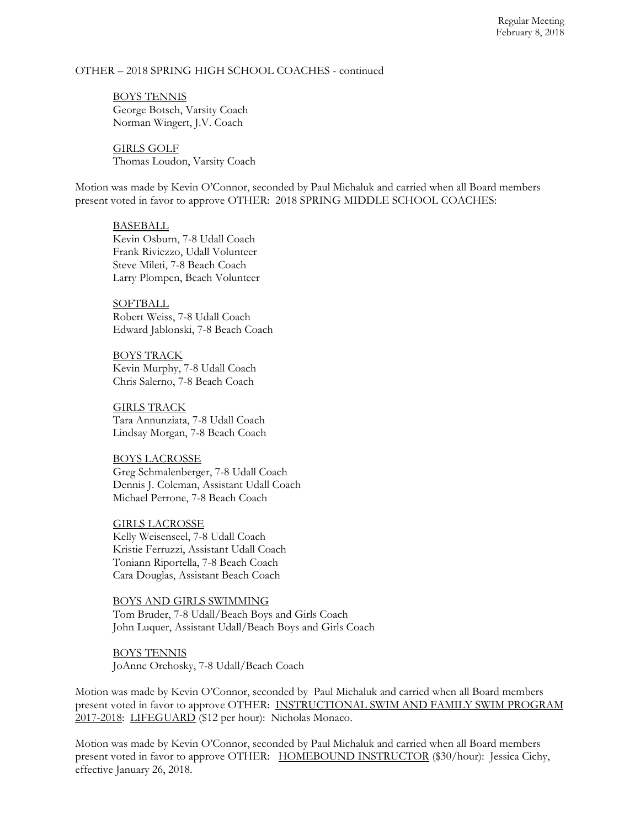## OTHER – 2018 SPRING HIGH SCHOOL COACHES - continued

 BOYS TENNIS George Botsch, Varsity Coach Norman Wingert, J.V. Coach

 GIRLS GOLF Thomas Loudon, Varsity Coach

Motion was made by Kevin O'Connor, seconded by Paul Michaluk and carried when all Board members present voted in favor to approve OTHER: 2018 SPRING MIDDLE SCHOOL COACHES:

#### BASEBALL

 Kevin Osburn, 7-8 Udall Coach Frank Riviezzo, Udall Volunteer Steve Mileti, 7-8 Beach Coach Larry Plompen, Beach Volunteer

 SOFTBALL Robert Weiss, 7-8 Udall Coach Edward Jablonski, 7-8 Beach Coach

 BOYS TRACK Kevin Murphy, 7-8 Udall Coach Chris Salerno, 7-8 Beach Coach

 GIRLS TRACK Tara Annunziata, 7-8 Udall Coach Lindsay Morgan, 7-8 Beach Coach

 BOYS LACROSSE Greg Schmalenberger, 7-8 Udall Coach Dennis J. Coleman, Assistant Udall Coach Michael Perrone, 7-8 Beach Coach

 GIRLS LACROSSE Kelly Weisenseel, 7-8 Udall Coach Kristie Ferruzzi, Assistant Udall Coach Toniann Riportella, 7-8 Beach Coach Cara Douglas, Assistant Beach Coach

 BOYS AND GIRLS SWIMMING Tom Bruder, 7-8 Udall/Beach Boys and Girls Coach John Luquer, Assistant Udall/Beach Boys and Girls Coach

 BOYS TENNIS JoAnne Orehosky, 7-8 Udall/Beach Coach

Motion was made by Kevin O'Connor, seconded by Paul Michaluk and carried when all Board members present voted in favor to approve OTHER: INSTRUCTIONAL SWIM AND FAMILY SWIM PROGRAM 2017-2018: LIFEGUARD (\$12 per hour): Nicholas Monaco.

Motion was made by Kevin O'Connor, seconded by Paul Michaluk and carried when all Board members present voted in favor to approve OTHER: HOMEBOUND INSTRUCTOR (\$30/hour): Jessica Cichy, effective January 26, 2018.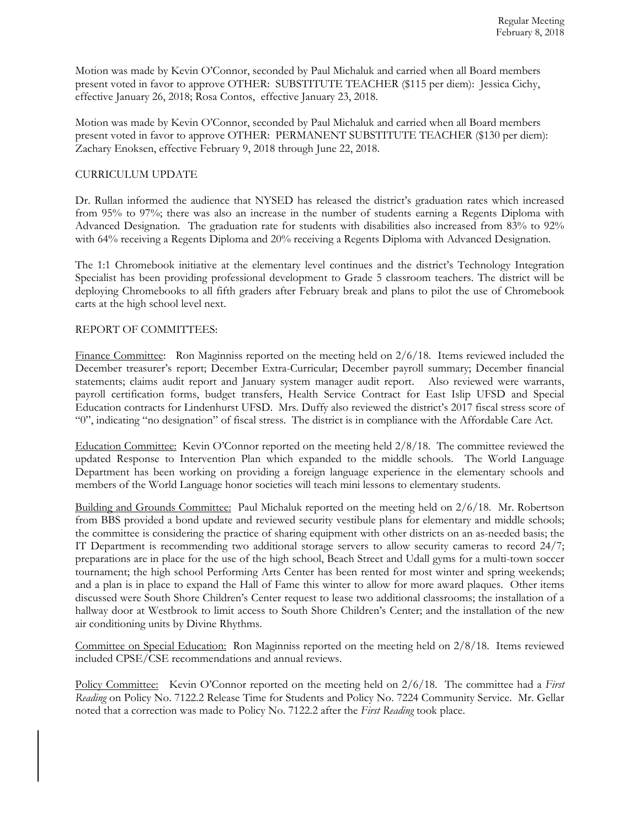Motion was made by Kevin O'Connor, seconded by Paul Michaluk and carried when all Board members present voted in favor to approve OTHER: SUBSTITUTE TEACHER (\$115 per diem): Jessica Cichy, effective January 26, 2018; Rosa Contos, effective January 23, 2018.

Motion was made by Kevin O'Connor, seconded by Paul Michaluk and carried when all Board members present voted in favor to approve OTHER: PERMANENT SUBSTITUTE TEACHER (\$130 per diem): Zachary Enoksen, effective February 9, 2018 through June 22, 2018.

## CURRICULUM UPDATE

Dr. Rullan informed the audience that NYSED has released the district's graduation rates which increased from 95% to 97%; there was also an increase in the number of students earning a Regents Diploma with Advanced Designation. The graduation rate for students with disabilities also increased from 83% to 92% with 64% receiving a Regents Diploma and 20% receiving a Regents Diploma with Advanced Designation.

The 1:1 Chromebook initiative at the elementary level continues and the district's Technology Integration Specialist has been providing professional development to Grade 5 classroom teachers. The district will be deploying Chromebooks to all fifth graders after February break and plans to pilot the use of Chromebook carts at the high school level next.

#### REPORT OF COMMITTEES:

Finance Committee: Ron Maginniss reported on the meeting held on  $2/6/18$ . Items reviewed included the December treasurer's report; December Extra-Curricular; December payroll summary; December financial statements; claims audit report and January system manager audit report. Also reviewed were warrants, payroll certification forms, budget transfers, Health Service Contract for East Islip UFSD and Special Education contracts for Lindenhurst UFSD. Mrs. Duffy also reviewed the district's 2017 fiscal stress score of "0", indicating "no designation" of fiscal stress. The district is in compliance with the Affordable Care Act.

Education Committee: Kevin O'Connor reported on the meeting held 2/8/18. The committee reviewed the updated Response to Intervention Plan which expanded to the middle schools. The World Language Department has been working on providing a foreign language experience in the elementary schools and members of the World Language honor societies will teach mini lessons to elementary students.

Building and Grounds Committee: Paul Michaluk reported on the meeting held on 2/6/18. Mr. Robertson from BBS provided a bond update and reviewed security vestibule plans for elementary and middle schools; the committee is considering the practice of sharing equipment with other districts on an as-needed basis; the IT Department is recommending two additional storage servers to allow security cameras to record 24/7; preparations are in place for the use of the high school, Beach Street and Udall gyms for a multi-town soccer tournament; the high school Performing Arts Center has been rented for most winter and spring weekends; and a plan is in place to expand the Hall of Fame this winter to allow for more award plaques. Other items discussed were South Shore Children's Center request to lease two additional classrooms; the installation of a hallway door at Westbrook to limit access to South Shore Children's Center; and the installation of the new air conditioning units by Divine Rhythms.

Committee on Special Education: Ron Maginniss reported on the meeting held on 2/8/18. Items reviewed included CPSE/CSE recommendations and annual reviews.

Policy Committee: Kevin O'Connor reported on the meeting held on  $2/6/18$ . The committee had a *First Reading* on Policy No. 7122.2 Release Time for Students and Policy No. 7224 Community Service. Mr. Gellar noted that a correction was made to Policy No. 7122.2 after the *First Reading* took place.